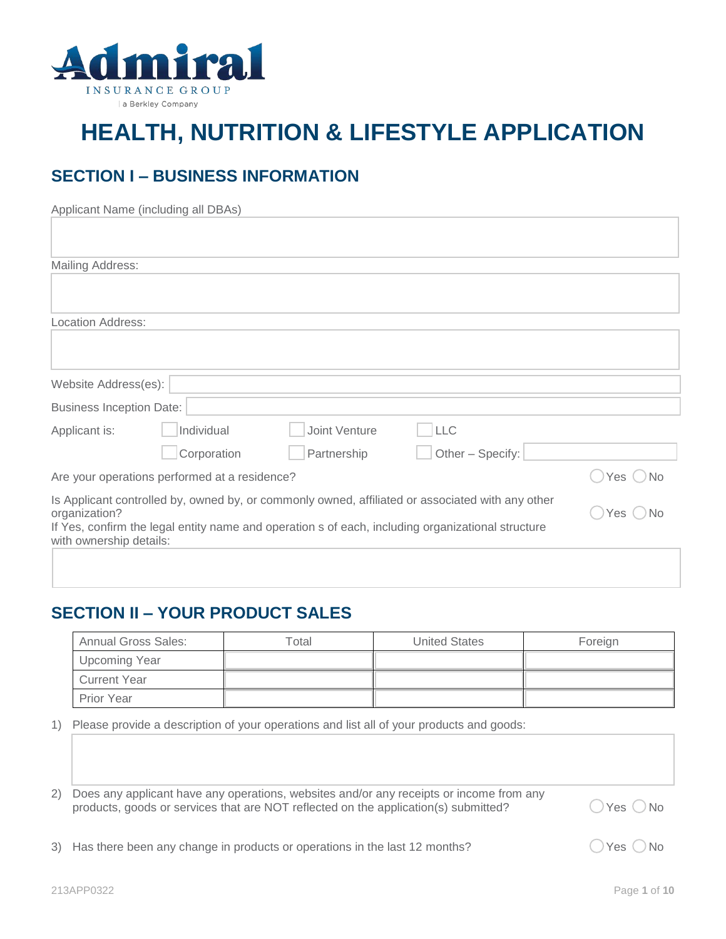

# **HEALTH, NUTRITION & LIFESTYLE APPLICATION**

# **SECTION I – BUSINESS INFORMATION**

|                                 | Applicant Name (including all DBAs)           |               |                                                                                                   |                      |  |
|---------------------------------|-----------------------------------------------|---------------|---------------------------------------------------------------------------------------------------|----------------------|--|
|                                 |                                               |               |                                                                                                   |                      |  |
|                                 |                                               |               |                                                                                                   |                      |  |
| Mailing Address:                |                                               |               |                                                                                                   |                      |  |
|                                 |                                               |               |                                                                                                   |                      |  |
|                                 |                                               |               |                                                                                                   |                      |  |
| Location Address:               |                                               |               |                                                                                                   |                      |  |
|                                 |                                               |               |                                                                                                   |                      |  |
|                                 |                                               |               |                                                                                                   |                      |  |
| Website Address(es):            |                                               |               |                                                                                                   |                      |  |
|                                 |                                               |               |                                                                                                   |                      |  |
| <b>Business Inception Date:</b> |                                               |               |                                                                                                   |                      |  |
| Applicant is:                   | Individual                                    | Joint Venture | <b>LLC</b>                                                                                        |                      |  |
|                                 | Corporation                                   | Partnership   | Other - Specify:                                                                                  |                      |  |
|                                 | Are your operations performed at a residence? |               |                                                                                                   | Yes $\bigcirc$<br>No |  |
|                                 |                                               |               | Is Applicant controlled by, owned by, or commonly owned, affiliated or associated with any other  |                      |  |
| organization?                   | Yes<br><b>No</b>                              |               |                                                                                                   |                      |  |
| with ownership details:         |                                               |               | If Yes, confirm the legal entity name and operation s of each, including organizational structure |                      |  |
|                                 |                                               |               |                                                                                                   |                      |  |
|                                 |                                               |               |                                                                                                   |                      |  |

## **SECTION II – YOUR PRODUCT SALES**

| <b>Annual Gross Sales:</b> | ™otal | <b>United States</b> | Foreign |
|----------------------------|-------|----------------------|---------|
| Upcoming Year              |       |                      |         |
| Current Year               |       |                      |         |
| <b>Prior Year</b>          |       |                      |         |

1) Please provide a description of your operations and list all of your products and goods:

| 2) Does any applicant have any operations, websites and/or any receipts or income from any |
|--------------------------------------------------------------------------------------------|
| products, goods or services that are NOT reflected on the application(s) submitted?        |

 $\bigcirc$  Yes  $\bigcirc$  No

 $\bigcirc$  Yes  $\bigcirc$  No

|  |  | 3) Has there been any change in products or operations in the last 12 months? |
|--|--|-------------------------------------------------------------------------------|
|  |  |                                                                               |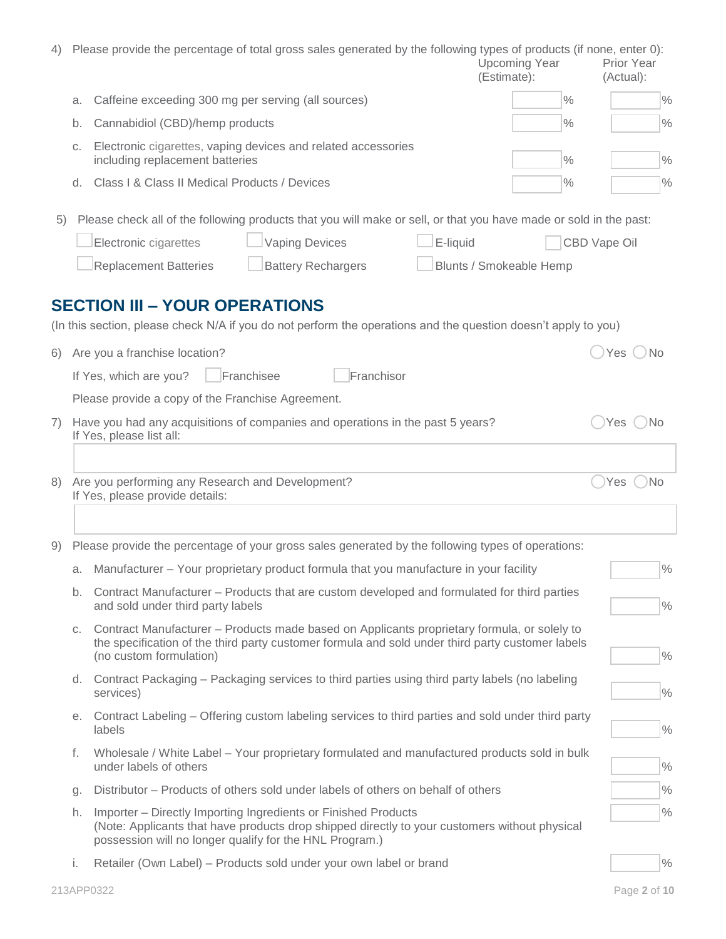| 4) |    | Please provide the percentage of total gross sales generated by the following types of products (if none, enter 0):                                                                                                                                                                  | <b>Upcoming Year</b><br>(Estimate): | <b>Prior Year</b><br>(Actual): |  |  |  |  |  |
|----|----|--------------------------------------------------------------------------------------------------------------------------------------------------------------------------------------------------------------------------------------------------------------------------------------|-------------------------------------|--------------------------------|--|--|--|--|--|
|    | a. | Caffeine exceeding 300 mg per serving (all sources)                                                                                                                                                                                                                                  | $\%$                                | $\frac{9}{6}$                  |  |  |  |  |  |
|    | b. | Cannabidiol (CBD)/hemp products                                                                                                                                                                                                                                                      | $\%$                                | $\frac{0}{0}$                  |  |  |  |  |  |
|    | C. | Electronic cigarettes, vaping devices and related accessories<br>including replacement batteries                                                                                                                                                                                     | $\%$                                | $\frac{0}{0}$                  |  |  |  |  |  |
|    |    | d. Class I & Class II Medical Products / Devices                                                                                                                                                                                                                                     | $\%$                                | $\frac{0}{0}$                  |  |  |  |  |  |
| 5) |    | Please check all of the following products that you will make or sell, or that you have made or sold in the past:<br><b>Vaping Devices</b><br>E-liquid<br>Electronic cigarettes<br><b>Replacement Batteries</b><br><b>Battery Rechargers</b><br><b>SECTION III - YOUR OPERATIONS</b> | Blunts / Smokeable Hemp             | CBD Vape Oil                   |  |  |  |  |  |
|    |    | (In this section, please check N/A if you do not perform the operations and the question doesn't apply to you)                                                                                                                                                                       |                                     |                                |  |  |  |  |  |
| 6) |    | Are you a franchise location?                                                                                                                                                                                                                                                        |                                     | Yes<br><b>No</b>               |  |  |  |  |  |
|    |    | Franchisee<br>Franchisor<br>If Yes, which are you?                                                                                                                                                                                                                                   |                                     |                                |  |  |  |  |  |
| 7) |    | Please provide a copy of the Franchise Agreement.<br>Have you had any acquisitions of companies and operations in the past 5 years?<br>If Yes, please list all:                                                                                                                      |                                     | Yes<br>Νo                      |  |  |  |  |  |
| 8) |    | Are you performing any Research and Development?<br>If Yes, please provide details:                                                                                                                                                                                                  |                                     | <b>No</b><br>Yes               |  |  |  |  |  |
|    |    | 9) Please provide the percentage of your gross sales generated by the following types of operations:                                                                                                                                                                                 |                                     |                                |  |  |  |  |  |
|    |    | a. Manufacturer - Your proprietary product formula that you manufacture in your facility                                                                                                                                                                                             |                                     | $\frac{0}{0}$                  |  |  |  |  |  |
|    | b. | Contract Manufacturer – Products that are custom developed and formulated for third parties<br>and sold under third party labels                                                                                                                                                     |                                     | $\%$                           |  |  |  |  |  |
|    | C. | Contract Manufacturer – Products made based on Applicants proprietary formula, or solely to<br>the specification of the third party customer formula and sold under third party customer labels<br>(no custom formulation)                                                           |                                     | $\frac{0}{0}$                  |  |  |  |  |  |
|    | d. | Contract Packaging – Packaging services to third parties using third party labels (no labeling<br>services)                                                                                                                                                                          |                                     | $\frac{0}{0}$                  |  |  |  |  |  |
|    |    | e. Contract Labeling – Offering custom labeling services to third parties and sold under third party<br>labels                                                                                                                                                                       |                                     | $\frac{0}{0}$                  |  |  |  |  |  |
|    | t. | Wholesale / White Label - Your proprietary formulated and manufactured products sold in bulk<br>under labels of others                                                                                                                                                               |                                     | $\frac{0}{0}$                  |  |  |  |  |  |
|    | g. | Distributor – Products of others sold under labels of others on behalf of others                                                                                                                                                                                                     |                                     | $\frac{0}{0}$                  |  |  |  |  |  |
|    | h. | Importer - Directly Importing Ingredients or Finished Products<br>(Note: Applicants that have products drop shipped directly to your customers without physical<br>possession will no longer qualify for the HNL Program.)                                                           |                                     | $\%$                           |  |  |  |  |  |
|    | i. | Retailer (Own Label) - Products sold under your own label or brand                                                                                                                                                                                                                   |                                     | $\frac{0}{0}$                  |  |  |  |  |  |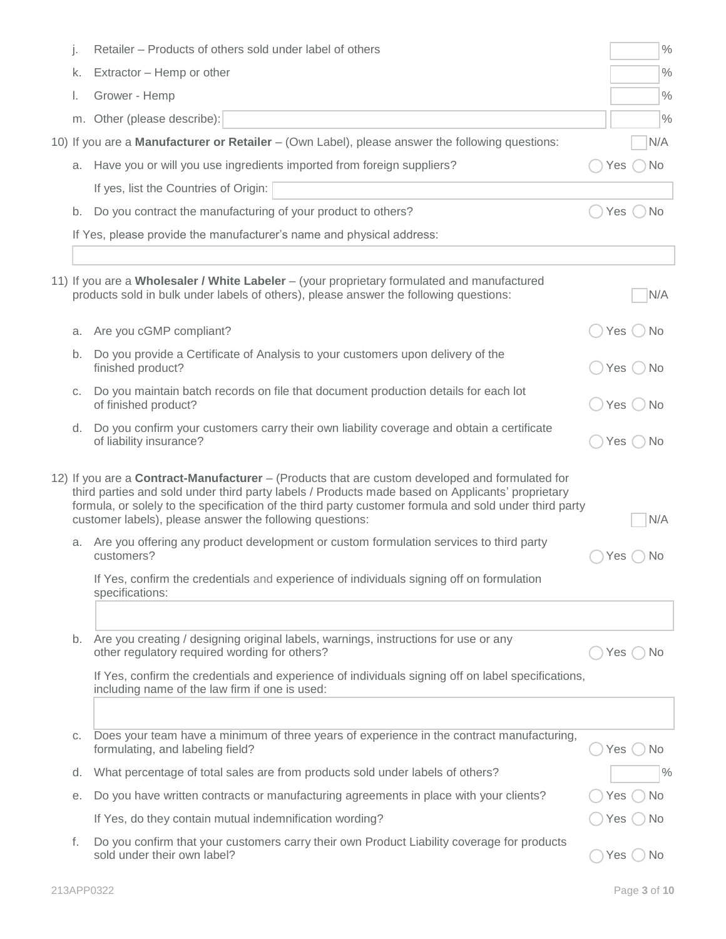| j. | Retailer - Products of others sold under label of others                                                                                                                                                                                                                                                                                                                         |                     |           | $\%$          |
|----|----------------------------------------------------------------------------------------------------------------------------------------------------------------------------------------------------------------------------------------------------------------------------------------------------------------------------------------------------------------------------------|---------------------|-----------|---------------|
| k. | Extractor - Hemp or other                                                                                                                                                                                                                                                                                                                                                        |                     |           | $\frac{0}{0}$ |
| L. | Grower - Hemp                                                                                                                                                                                                                                                                                                                                                                    |                     |           | $\frac{0}{0}$ |
|    | m. Other (please describe):                                                                                                                                                                                                                                                                                                                                                      |                     |           | $\frac{0}{0}$ |
|    | 10) If you are a Manufacturer or Retailer – (Own Label), please answer the following questions:                                                                                                                                                                                                                                                                                  |                     | N/A       |               |
|    | a. Have you or will you use ingredients imported from foreign suppliers?                                                                                                                                                                                                                                                                                                         | Yes                 | <b>No</b> |               |
|    | If yes, list the Countries of Origin:                                                                                                                                                                                                                                                                                                                                            |                     |           |               |
| b. | Do you contract the manufacturing of your product to others?                                                                                                                                                                                                                                                                                                                     | Yes                 | <b>No</b> |               |
|    | If Yes, please provide the manufacturer's name and physical address:                                                                                                                                                                                                                                                                                                             |                     |           |               |
|    |                                                                                                                                                                                                                                                                                                                                                                                  |                     |           |               |
|    | 11) If you are a Wholesaler / White Labeler - (your proprietary formulated and manufactured<br>products sold in bulk under labels of others), please answer the following questions:                                                                                                                                                                                             |                     | N/A       |               |
| a. | Are you cGMP compliant?                                                                                                                                                                                                                                                                                                                                                          | Yes $()$            | <b>No</b> |               |
| b. | Do you provide a Certificate of Analysis to your customers upon delivery of the<br>finished product?                                                                                                                                                                                                                                                                             | Yes $\left(\right)$ | No        |               |
| С. | Do you maintain batch records on file that document production details for each lot<br>of finished product?                                                                                                                                                                                                                                                                      | Yes $\bigcirc$      | ' No      |               |
| d. | Do you confirm your customers carry their own liability coverage and obtain a certificate<br>of liability insurance?                                                                                                                                                                                                                                                             | Yes                 | N0        |               |
|    | 12) If you are a <b>Contract-Manufacturer</b> – (Products that are custom developed and formulated for<br>third parties and sold under third party labels / Products made based on Applicants' proprietary<br>formula, or solely to the specification of the third party customer formula and sold under third party<br>customer labels), please answer the following questions: |                     | N/A       |               |
| a. | Are you offering any product development or custom formulation services to third party<br>customers?                                                                                                                                                                                                                                                                             | Yes                 | N0        |               |
|    | If Yes, confirm the credentials and experience of individuals signing off on formulation<br>specifications:                                                                                                                                                                                                                                                                      |                     |           |               |
|    |                                                                                                                                                                                                                                                                                                                                                                                  |                     |           |               |
| b. | Are you creating / designing original labels, warnings, instructions for use or any<br>other regulatory required wording for others?                                                                                                                                                                                                                                             | Yes                 | No        |               |
|    | If Yes, confirm the credentials and experience of individuals signing off on label specifications,<br>including name of the law firm if one is used:                                                                                                                                                                                                                             |                     |           |               |
|    |                                                                                                                                                                                                                                                                                                                                                                                  |                     |           |               |
| С. | Does your team have a minimum of three years of experience in the contract manufacturing,<br>formulating, and labeling field?                                                                                                                                                                                                                                                    | Yes $(\ )$          | No        |               |
| d. | What percentage of total sales are from products sold under labels of others?                                                                                                                                                                                                                                                                                                    |                     |           | $\frac{0}{0}$ |
| е. | Do you have written contracts or manufacturing agreements in place with your clients?                                                                                                                                                                                                                                                                                            | Yes                 | No        |               |
|    | If Yes, do they contain mutual indemnification wording?                                                                                                                                                                                                                                                                                                                          | Yes                 | No.       |               |
| f. | Do you confirm that your customers carry their own Product Liability coverage for products<br>sold under their own label?                                                                                                                                                                                                                                                        | Yes                 | No        |               |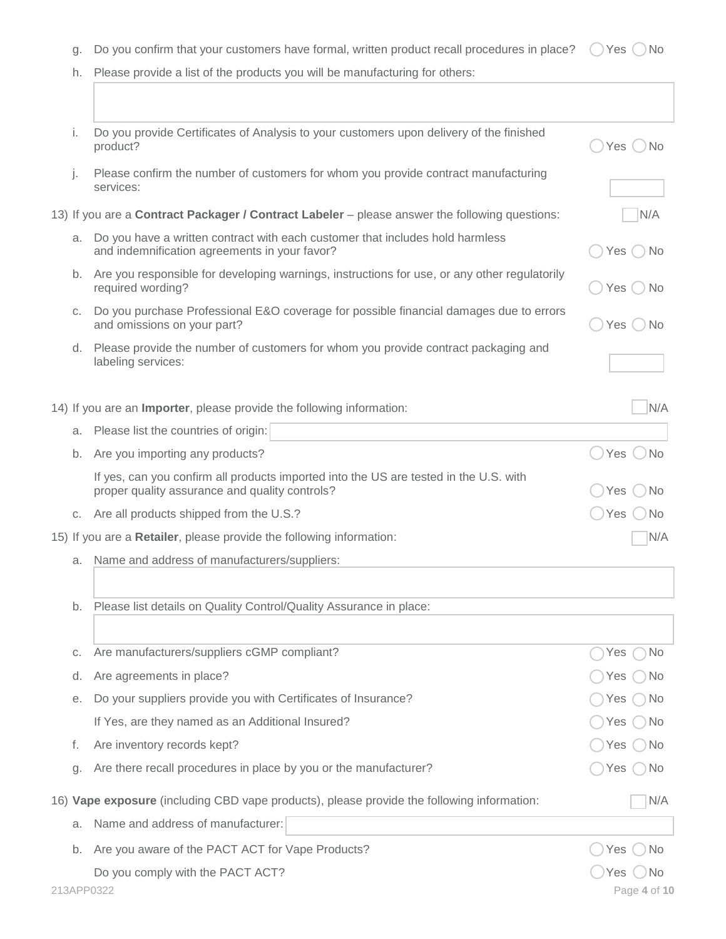| g. Do you confirm that your customers have formal, written product recall procedures in place? $\bigcirc$ Yes $\bigcirc$ No |  |  |
|-----------------------------------------------------------------------------------------------------------------------------|--|--|
|                                                                                                                             |  |  |

|  |  |  |  |  | h. Please provide a list of the products you will be manufacturing for others: |
|--|--|--|--|--|--------------------------------------------------------------------------------|
|--|--|--|--|--|--------------------------------------------------------------------------------|

| i. | Do you provide Certificates of Analysis to your customers upon delivery of the finished<br>product?                                     | Yes()<br>Nο      |
|----|-----------------------------------------------------------------------------------------------------------------------------------------|------------------|
| j. | Please confirm the number of customers for whom you provide contract manufacturing<br>services:                                         |                  |
|    | 13) If you are a <b>Contract Packager / Contract Labeler</b> – please answer the following questions:                                   | N/A              |
| a. | Do you have a written contract with each customer that includes hold harmless<br>and indemnification agreements in your favor?          | Yes (<br>No.     |
|    | b. Are you responsible for developing warnings, instructions for use, or any other regulatorily<br>required wording?                    | Yes (<br>No.     |
| C. | Do you purchase Professional E&O coverage for possible financial damages due to errors<br>and omissions on your part?                   | Yes()<br>No.     |
| d. | Please provide the number of customers for whom you provide contract packaging and<br>labeling services:                                |                  |
|    | 14) If you are an Importer, please provide the following information:                                                                   | N/A              |
| a. | Please list the countries of origin:                                                                                                    |                  |
| b. | Are you importing any products?                                                                                                         | Yes \<br>No      |
|    | If yes, can you confirm all products imported into the US are tested in the U.S. with<br>proper quality assurance and quality controls? | No<br>Yes        |
|    | c. Are all products shipped from the U.S.?                                                                                              | Yes<br>No.       |
|    | 15) If you are a Retailer, please provide the following information:                                                                    | N/A              |
| a. | Name and address of manufacturers/suppliers:                                                                                            |                  |
| b. | Please list details on Quality Control/Quality Assurance in place:                                                                      |                  |
|    |                                                                                                                                         |                  |
| С. | Are manufacturers/suppliers cGMP compliant?                                                                                             | No<br>Yes        |
| d. | Are agreements in place?                                                                                                                | No.<br>Yes       |
| е. | Do your suppliers provide you with Certificates of Insurance?                                                                           | .No<br>Yes       |
|    | If Yes, are they named as an Additional Insured?                                                                                        | No<br>Yes        |
| f. | Are inventory records kept?                                                                                                             | No<br>Yes        |
| g. | Are there recall procedures in place by you or the manufacturer?                                                                        | No.<br>Yes       |
|    | 16) Vape exposure (including CBD vape products), please provide the following information:                                              | N/A              |
| a. | Name and address of manufacturer:                                                                                                       |                  |
| b. | Are you aware of the PACT ACT for Vape Products?                                                                                        | Yes<br><b>No</b> |
|    | Do you comply with the PACT ACT?                                                                                                        | Yes<br>'No       |
|    | 213APP0322                                                                                                                              | Page 4 of 10     |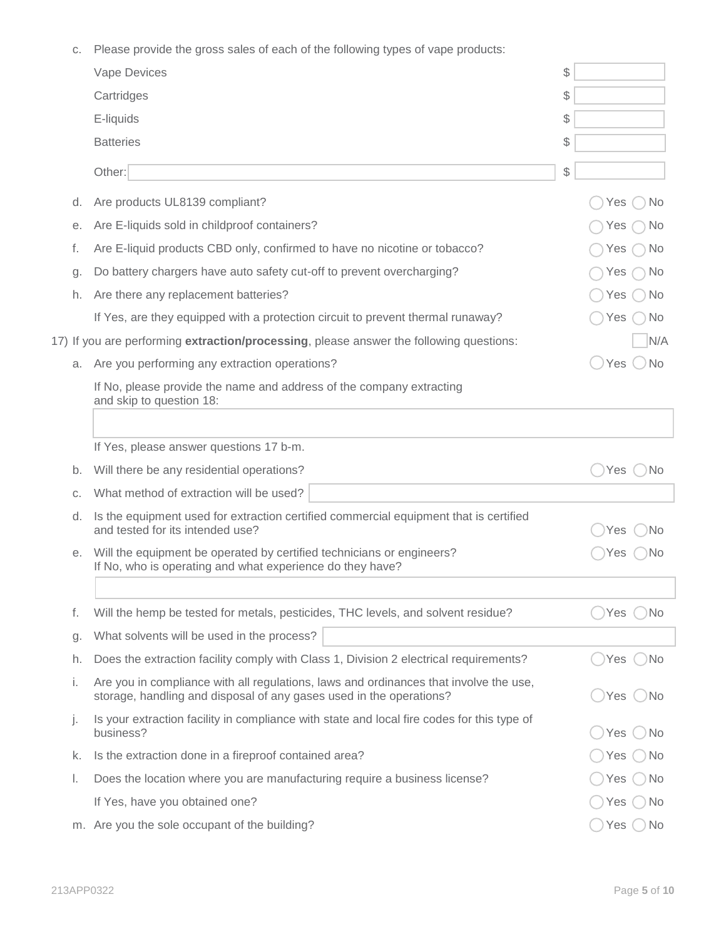c. Please provide the gross sales of each of the following types of vape products:

|    | Vape Devices                                                                                                                                                 | \$             |           |
|----|--------------------------------------------------------------------------------------------------------------------------------------------------------------|----------------|-----------|
|    | Cartridges                                                                                                                                                   | \$             |           |
|    | E-liquids                                                                                                                                                    | \$             |           |
|    | <b>Batteries</b>                                                                                                                                             | \$             |           |
|    | Other:                                                                                                                                                       | $\$\$          |           |
| d. | Are products UL8139 compliant?                                                                                                                               | Yes            | No.       |
| е. | Are E-liquids sold in childproof containers?                                                                                                                 | Yes            | No.       |
| f. | Are E-liquid products CBD only, confirmed to have no nicotine or tobacco?                                                                                    | Yes            | No.       |
| g. | Do battery chargers have auto safety cut-off to prevent overcharging?                                                                                        | Yes            | No.       |
| h. | Are there any replacement batteries?                                                                                                                         | Yes            | No.       |
|    | If Yes, are they equipped with a protection circuit to prevent thermal runaway?                                                                              | Yes            | No        |
|    | 17) If you are performing extraction/processing, please answer the following questions:                                                                      |                | N/A       |
| a. | Are you performing any extraction operations?                                                                                                                | Yes $\bigcirc$ | <b>No</b> |
|    | If No, please provide the name and address of the company extracting<br>and skip to question 18:                                                             |                |           |
|    |                                                                                                                                                              |                |           |
|    | If Yes, please answer questions 17 b-m.                                                                                                                      |                |           |
| b. | Will there be any residential operations?                                                                                                                    | Yes            | l No      |
| C. | What method of extraction will be used?                                                                                                                      |                |           |
| d. | Is the equipment used for extraction certified commercial equipment that is certified<br>and tested for its intended use?                                    | Yes            | ΙNο       |
| е. | Will the equipment be operated by certified technicians or engineers?<br>If No, who is operating and what experience do they have?                           | Yes            | ۱No       |
|    |                                                                                                                                                              |                |           |
| f. | Will the hemp be tested for metals, pesticides, THC levels, and solvent residue?                                                                             | Yes            | )No       |
| g. | What solvents will be used in the process?                                                                                                                   |                |           |
| h. | Does the extraction facility comply with Class 1, Division 2 electrical requirements?                                                                        | Yes            | )No       |
| i. | Are you in compliance with all regulations, laws and ordinances that involve the use,<br>storage, handling and disposal of any gases used in the operations? | Yes ()No       |           |
| j. | Is your extraction facility in compliance with state and local fire codes for this type of<br>business?                                                      | Yes            | No.       |
| k. | Is the extraction done in a fireproof contained area?                                                                                                        | Yes            | No        |
| I. | Does the location where you are manufacturing require a business license?                                                                                    | Yes            | N0        |
|    | If Yes, have you obtained one?                                                                                                                               | Yes            | No.       |
|    | m. Are you the sole occupant of the building?                                                                                                                | Yes            | No        |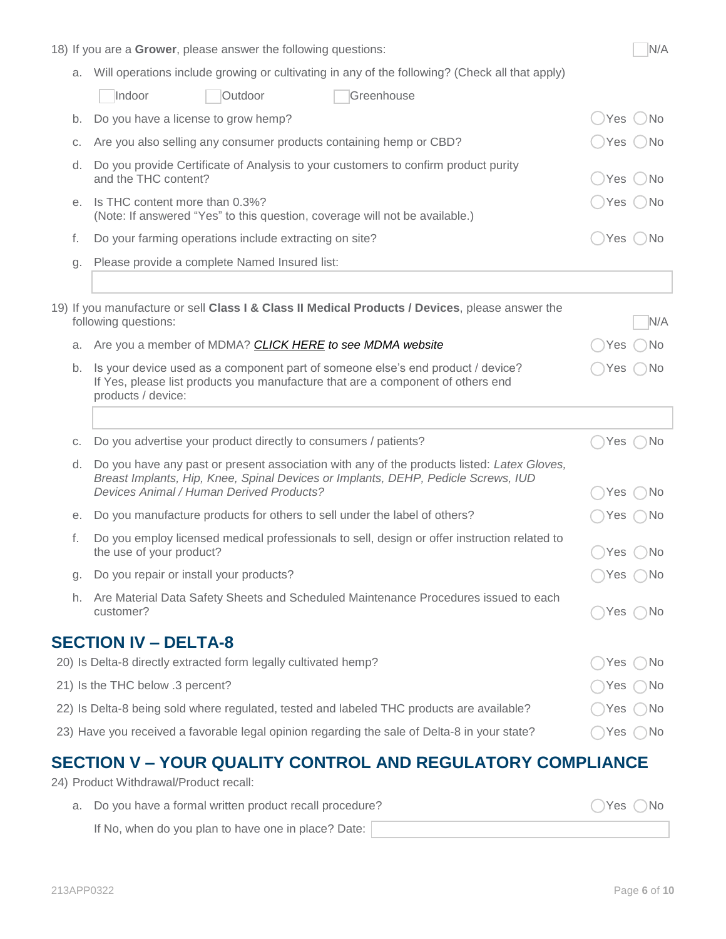|    | 18) If you are a Grower, please answer the following questions:                                                                                                                                                                    |            | N/A          |
|----|------------------------------------------------------------------------------------------------------------------------------------------------------------------------------------------------------------------------------------|------------|--------------|
| а. | Will operations include growing or cultivating in any of the following? (Check all that apply)                                                                                                                                     |            |              |
|    | Indoor<br>Outdoor<br>Greenhouse                                                                                                                                                                                                    |            |              |
| b. | Do you have a license to grow hemp?                                                                                                                                                                                                | Yes        | $( )$ No     |
| С. | Are you also selling any consumer products containing hemp or CBD?                                                                                                                                                                 | Yes        | ) No         |
| d. | Do you provide Certificate of Analysis to your customers to confirm product purity<br>and the THC content?                                                                                                                         | Yes        | 'No          |
| е. | Is THC content more than 0.3%?<br>(Note: If answered "Yes" to this question, coverage will not be available.)                                                                                                                      | Yes        | ( )No        |
| f. | Do your farming operations include extracting on site?                                                                                                                                                                             |            | Yes ()No     |
| g. | Please provide a complete Named Insured list:                                                                                                                                                                                      |            |              |
|    |                                                                                                                                                                                                                                    |            |              |
|    | 19) If you manufacture or sell Class I & Class II Medical Products / Devices, please answer the<br>following questions:                                                                                                            |            | N/A          |
| a. | Are you a member of MDMA? CLICK HERE to see MDMA website                                                                                                                                                                           | Yes        | ) No         |
| b. | Is your device used as a component part of someone else's end product / device?<br>If Yes, please list products you manufacture that are a component of others end<br>products / device:                                           | <b>Yes</b> | ) No         |
|    |                                                                                                                                                                                                                                    |            |              |
| C. | Do you advertise your product directly to consumers / patients?                                                                                                                                                                    | Yes        | ∣No          |
| d. | Do you have any past or present association with any of the products listed: Latex Gloves,<br>Breast Implants, Hip, Knee, Spinal Devices or Implants, DEHP, Pedicle Screws, IUD<br><b>Devices Animal / Human Derived Products?</b> | Yes        | No.          |
| е. | Do you manufacture products for others to sell under the label of others?                                                                                                                                                          | Yes        | No.          |
| f. | Do you employ licensed medical professionals to sell, design or offer instruction related to<br>the use of your product?                                                                                                           |            | Yes ( )No    |
| g. | Do you repair or install your products?                                                                                                                                                                                            | Yes        | $\bigcap$ No |
| h. | Are Material Data Safety Sheets and Scheduled Maintenance Procedures issued to each<br>customer?                                                                                                                                   | Yes        | ) No         |
|    | <b>SECTION IV - DELTA-8</b>                                                                                                                                                                                                        |            |              |
|    | 20) Is Delta-8 directly extracted form legally cultivated hemp?                                                                                                                                                                    | Yes        | ⊃No          |
|    | 21) Is the THC below .3 percent?                                                                                                                                                                                                   | Yes        | .) No        |
|    | 22) Is Delta-8 being sold where regulated, tested and labeled THC products are available?                                                                                                                                          | Yes        | -)No         |
|    | 23) Have you received a favorable legal opinion regarding the sale of Delta-8 in your state?                                                                                                                                       | Yes        | ⊇No          |
|    |                                                                                                                                                                                                                                    |            |              |

### **SECTION V – YOUR QUALITY CONTROL AND REGULATORY COMPLIANCE**

24) Product Withdrawal/Product recall:

a. Do you have a formal written product recall procedure?  $\bigcirc$  Yes  $\bigcirc$  Yes  $\bigcirc$  No If No, when do you plan to have one in place? Date: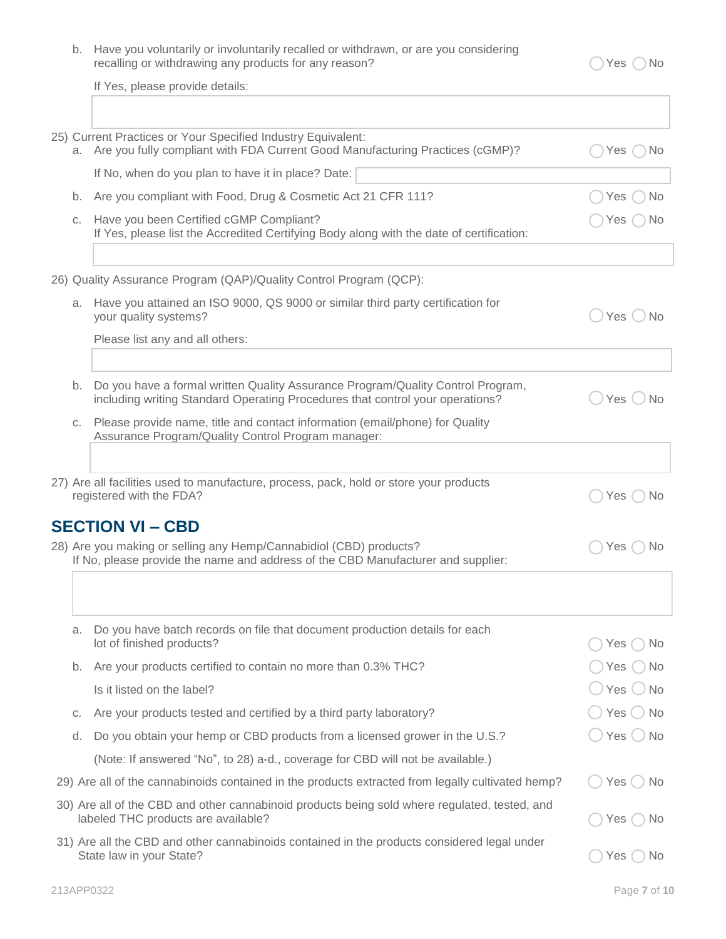| b. Have you voluntarily or involuntarily recalled or withdrawn, or are you considering |
|----------------------------------------------------------------------------------------|
| recalling or withdrawing any products for any reason?                                  |

 $\bigcirc$  Yes  $\bigcirc$  No

If Yes, please provide details:

|                                                                                                                                                    | 25) Current Practices or Your Specified Industry Equivalent:<br>a. Are you fully compliant with FDA Current Good Manufacturing Practices (cGMP)?                 |                        |  |  |
|----------------------------------------------------------------------------------------------------------------------------------------------------|------------------------------------------------------------------------------------------------------------------------------------------------------------------|------------------------|--|--|
|                                                                                                                                                    | If No, when do you plan to have it in place? Date:                                                                                                               |                        |  |  |
| b.                                                                                                                                                 | Are you compliant with Food, Drug & Cosmetic Act 21 CFR 111?                                                                                                     | <b>No</b><br>Yes (     |  |  |
| C.                                                                                                                                                 | Have you been Certified cGMP Compliant?<br>If Yes, please list the Accredited Certifying Body along with the date of certification:                              | Yes<br>No.             |  |  |
|                                                                                                                                                    |                                                                                                                                                                  |                        |  |  |
|                                                                                                                                                    | 26) Quality Assurance Program (QAP)/Quality Control Program (QCP):                                                                                               |                        |  |  |
|                                                                                                                                                    | a. Have you attained an ISO 9000, QS 9000 or similar third party certification for<br>your quality systems?                                                      | Yes ONo                |  |  |
|                                                                                                                                                    | Please list any and all others:                                                                                                                                  |                        |  |  |
|                                                                                                                                                    |                                                                                                                                                                  |                        |  |  |
| b.                                                                                                                                                 | Do you have a formal written Quality Assurance Program/Quality Control Program,<br>including writing Standard Operating Procedures that control your operations? | $Yes \bigcirc$ No      |  |  |
| C.                                                                                                                                                 | Please provide name, title and contact information (email/phone) for Quality<br>Assurance Program/Quality Control Program manager:                               |                        |  |  |
|                                                                                                                                                    |                                                                                                                                                                  |                        |  |  |
|                                                                                                                                                    | 27) Are all facilities used to manufacture, process, pack, hold or store your products<br>registered with the FDA?                                               | Yes $( )$<br><b>No</b> |  |  |
|                                                                                                                                                    | <b>SECTION VI - CBD</b>                                                                                                                                          |                        |  |  |
|                                                                                                                                                    | 28) Are you making or selling any Hemp/Cannabidiol (CBD) products?<br>If No, please provide the name and address of the CBD Manufacturer and supplier:           |                        |  |  |
|                                                                                                                                                    |                                                                                                                                                                  |                        |  |  |
| a.                                                                                                                                                 | Do you have batch records on file that document production details for each<br>lot of finished products?                                                         | Yes<br>No.             |  |  |
| b.                                                                                                                                                 | Are your products certified to contain no more than 0.3% THC?                                                                                                    | Yes<br>No.             |  |  |
|                                                                                                                                                    | Is it listed on the label?                                                                                                                                       | Yes<br>$\cup$ No       |  |  |
|                                                                                                                                                    | Are your products tested and certified by a third party laboratory?                                                                                              | . ) No                 |  |  |
| C.                                                                                                                                                 |                                                                                                                                                                  | Yes (                  |  |  |
| d.                                                                                                                                                 | Do you obtain your hemp or CBD products from a licensed grower in the U.S.?                                                                                      | Yes $\bigcirc$ No      |  |  |
| (Note: If answered "No", to 28) a-d., coverage for CBD will not be available.)                                                                     |                                                                                                                                                                  |                        |  |  |
| 29) Are all of the cannabinoids contained in the products extracted from legally cultivated hemp?<br>Yes $\bigcirc$<br>No.                         |                                                                                                                                                                  |                        |  |  |
| 30) Are all of the CBD and other cannabinoid products being sold where regulated, tested, and<br>labeled THC products are available?<br>Yes<br>No. |                                                                                                                                                                  |                        |  |  |
|                                                                                                                                                    | 31) Are all the CBD and other cannabinoids contained in the products considered legal under<br>State law in your State?                                          | Yes $()$ No            |  |  |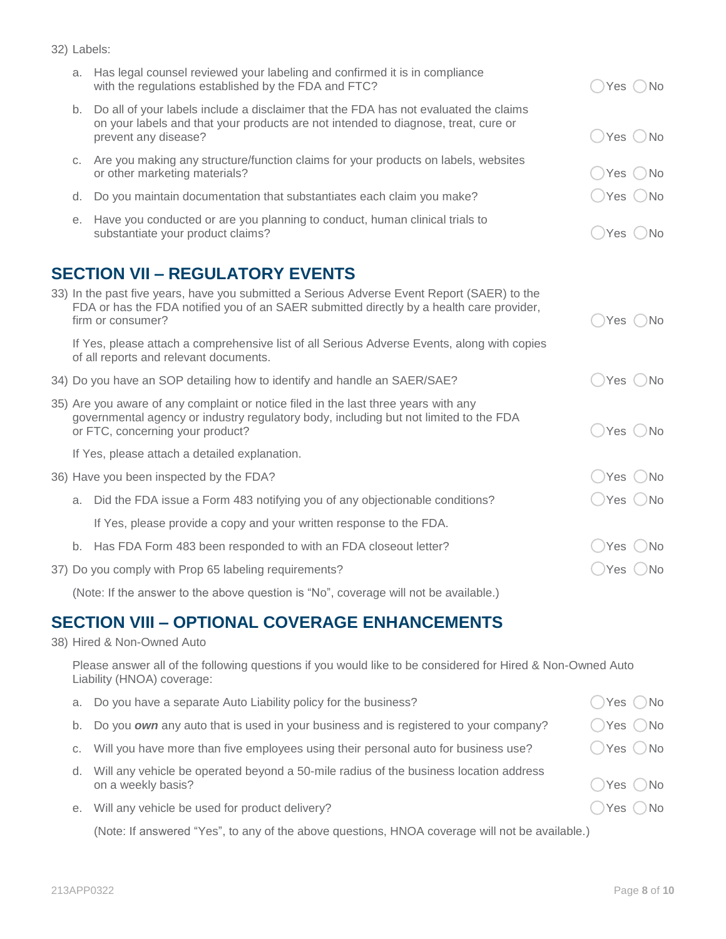| 32) Labels: |  |                                                                              |  |
|-------------|--|------------------------------------------------------------------------------|--|
|             |  | . Has legal counsel reviewed your labeling and confirmed it is in compliance |  |

|    | a. Thas legal couriser reviewed your labeling and committed it is in compilative<br>with the regulations established by the FDA and FTC?                                                                         |                              |  |
|----|------------------------------------------------------------------------------------------------------------------------------------------------------------------------------------------------------------------|------------------------------|--|
|    | b. Do all of your labels include a disclaimer that the FDA has not evaluated the claims<br>on your labels and that your products are not intended to diagnose, treat, cure or<br>prevent any disease?            | $\bigcirc$ Yes $\bigcirc$ No |  |
| C. | Are you making any structure/function claims for your products on labels, websites<br>or other marketing materials?                                                                                              | Yes (No                      |  |
| d. | Do you maintain documentation that substantiates each claim you make?                                                                                                                                            | $\bigcirc$ Yes $\bigcirc$ No |  |
| е. | Have you conducted or are you planning to conduct, human clinical trials to<br>substantiate your product claims?                                                                                                 | Yes ( )No                    |  |
|    | <b>SECTION VII - REGULATORY EVENTS</b>                                                                                                                                                                           |                              |  |
|    | 33) In the past five years, have you submitted a Serious Adverse Event Report (SAER) to the<br>FDA or has the FDA notified you of an SAER submitted directly by a health care provider,<br>firm or consumer?     | Yes ()No                     |  |
|    | If Yes, please attach a comprehensive list of all Serious Adverse Events, along with copies<br>of all reports and relevant documents.                                                                            |                              |  |
|    | 34) Do you have an SOP detailing how to identify and handle an SAER/SAE?                                                                                                                                         | Yes ONo                      |  |
|    | 35) Are you aware of any complaint or notice filed in the last three years with any<br>governmental agency or industry regulatory body, including but not limited to the FDA<br>or FTC, concerning your product? | ○Yes ○No                     |  |
|    | If Yes, please attach a detailed explanation.                                                                                                                                                                    |                              |  |
|    | 36) Have you been inspected by the FDA?                                                                                                                                                                          | Yes ()No                     |  |
|    | a. Did the FDA issue a Form 483 notifying you of any objectionable conditions?                                                                                                                                   | $\bigcirc$ Yes $\bigcirc$ No |  |
|    | If Yes, please provide a copy and your written response to the FDA.                                                                                                                                              |                              |  |
|    | b. Has FDA Form 483 been responded to with an FDA closeout letter?                                                                                                                                               | $\bigcirc$ Yes $\bigcirc$ No |  |
|    | 37) Do you comply with Prop 65 labeling requirements?                                                                                                                                                            | ◯Yes ◯No                     |  |

(Note: If the answer to the above question is "No", coverage will not be available.)

## **SECTION VIII – OPTIONAL COVERAGE ENHANCEMENTS**

#### 38) Hired & Non-Owned Auto

Please answer all of the following questions if you would like to be considered for Hired & Non-Owned Auto Liability (HNOA) coverage:

| a. | Do you have a separate Auto Liability policy for the business?                                              | $\bigcirc$ Yes $\bigcirc$ No |
|----|-------------------------------------------------------------------------------------------------------------|------------------------------|
| b. | Do you own any auto that is used in your business and is registered to your company?                        | ◯Yes ◯No                     |
|    | c. Will you have more than five employees using their personal auto for business use?                       | ◯Yes ◯No                     |
| d. | Will any vehicle be operated beyond a 50-mile radius of the business location address<br>on a weekly basis? | $\bigcirc$ Yes $\bigcirc$ No |
|    | e. Will any vehicle be used for product delivery?                                                           | ◯Yes ◯No                     |

(Note: If answered "Yes", to any of the above questions, HNOA coverage will not be available.)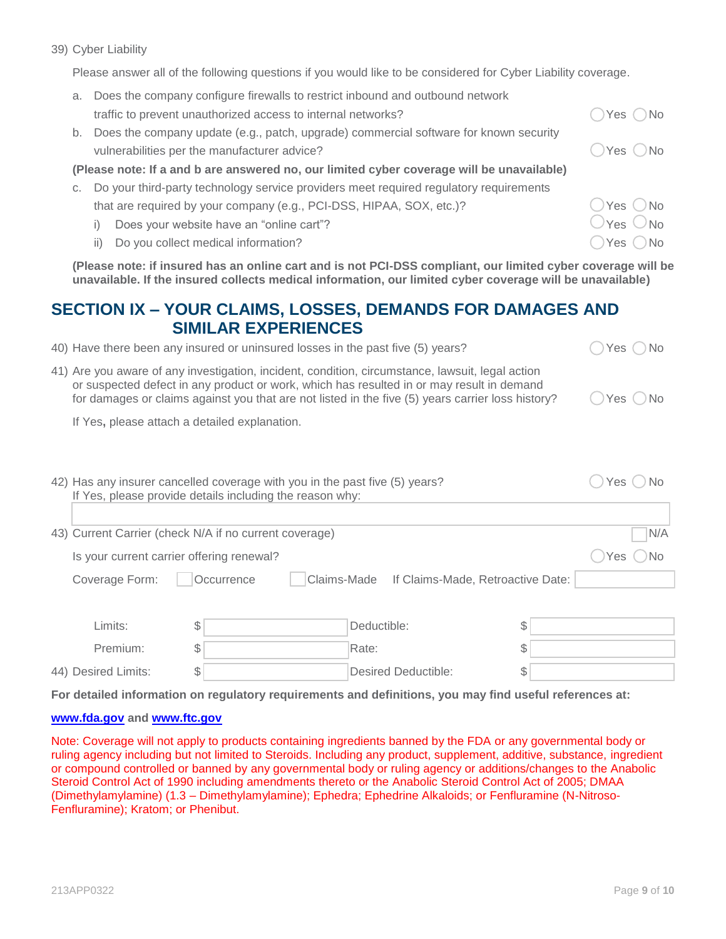Please answer all of the following questions if you would like to be considered for Cyber Liability coverage.

| a.                                                                                        | Does the company configure firewalls to restrict inbound and outbound network          |                                      |  |
|-------------------------------------------------------------------------------------------|----------------------------------------------------------------------------------------|--------------------------------------|--|
|                                                                                           | traffic to prevent unauthorized access to internal networks?                           | Yes ( ) No                           |  |
| b.                                                                                        | Does the company update (e.g., patch, upgrade) commercial software for known security  |                                      |  |
|                                                                                           | vulnerabilities per the manufacturer advice?                                           | Yes ONo                              |  |
| (Please note: If a and b are answered no, our limited cyber coverage will be unavailable) |                                                                                        |                                      |  |
|                                                                                           | Do your third-party technology service providers meet required regulatory requirements |                                      |  |
|                                                                                           | that are required by your company (e.g., PCI-DSS, HIPAA, SOX, etc.)?                   | $\bigcirc$ Yes $\bigcirc$ No         |  |
|                                                                                           | Does your website have an "online cart"?                                               | $\bigcup$ Yes $\bigcirc$ No          |  |
|                                                                                           | Do you collect medical information?<br>ii)                                             | ∩No<br><sup>1</sup> Yes <sup>1</sup> |  |
|                                                                                           |                                                                                        |                                      |  |

**(Please note: if insured has an online cart and is not PCI-DSS compliant, our limited cyber coverage will be unavailable. If the insured collects medical information, our limited cyber coverage will be unavailable)**

#### **SECTION IX – YOUR CLAIMS, LOSSES, DEMANDS FOR DAMAGES AND SIMILAR EXPERIENCES**

- 40) Have there been any insured or uninsured losses in the past five (5) years?  $\bigcirc$  Yes  $\bigcirc$  No
- 41) Are you aware of any investigation, incident, condition, circumstance, lawsuit, legal action or suspected defect in any product or work, which has resulted in or may result in demand for damages or claims against you that are not listed in the five (5) years carrier loss history?  $\bigcirc$  Yes  $\bigcirc$  No

If Yes**,** please attach a detailed explanation.

|                     | 42) Has any insurer cancelled coverage with you in the past five (5) years?<br>If Yes, please provide details including the reason why: |  |                                               |    |     |  |
|---------------------|-----------------------------------------------------------------------------------------------------------------------------------------|--|-----------------------------------------------|----|-----|--|
|                     | 43) Current Carrier (check N/A if no current coverage)                                                                                  |  |                                               |    | N/A |  |
|                     | Is your current carrier offering renewal?                                                                                               |  |                                               |    |     |  |
| Coverage Form:      | Occurrence                                                                                                                              |  | Claims-Made If Claims-Made, Retroactive Date: |    |     |  |
|                     |                                                                                                                                         |  |                                               |    |     |  |
| Limits:             | \$                                                                                                                                      |  | Deductible:                                   | \$ |     |  |
| Premium:            | S                                                                                                                                       |  | Rate:                                         | \$ |     |  |
| 44) Desired Limits: |                                                                                                                                         |  | Desired Deductible:                           |    |     |  |

**For detailed information on regulatory requirements and definitions, you may find useful references at:**

#### **[www.fda.gov](http://www.fda.gov/) and [www.ftc.gov](http://www.ftc.gov/)**

Note: Coverage will not apply to products containing ingredients banned by the FDA or any governmental body or ruling agency including but not limited to Steroids. Including any product, supplement, additive, substance, ingredient or compound controlled or banned by any governmental body or ruling agency or additions/changes to the Anabolic Steroid Control Act of 1990 including amendments thereto or the Anabolic Steroid Control Act of 2005; DMAA (Dimethylamylamine) (1.3 – Dimethylamylamine); Ephedra; Ephedrine Alkaloids; or Fenfluramine (N-Nitroso-Fenfluramine); Kratom; or Phenibut.